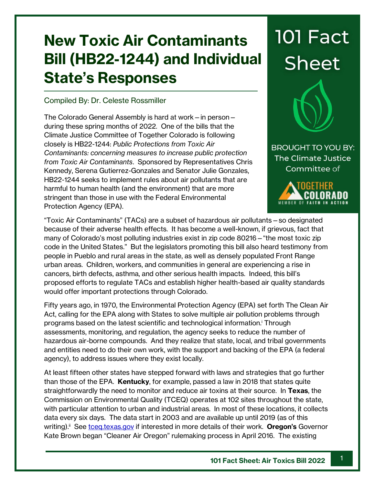## **New Toxic Air Contaminants Bill (HB22-1244) and Individual State's Responses**

## Compiled By: Dr. Celeste Rossmiller

The Colorado General Assembly is hard at work—in person during these spring months of 2022. One of the bills that the Climate Justice Committee of Together Colorado is following closely is HB22-1244: *Public Protections from Toxic Air Contaminants: concerning measures to increase public protection from Toxic Air Contaminants*. Sponsored by Representatives Chris Kennedy, Serena Gutierrez-Gonzales and Senator Julie Gonzales, HB22-1244 seeks to implement rules about air pollutants that are harmful to human health (and the environment) that are more stringent than those in use with the Federal Environmental Protection Agency (EPA).

## **101 Fact Sheet**

**BROUGHT TO YOU BY:** The Climate Justice Committee of



"Toxic Air Contaminants" (TACs) are a subset of hazardous air pollutants—so designated because of their adverse health effects. It has become a well-known, if grievous, fact that many of Colorado's most polluting industries exist in zip code 80216—"the most toxic zip code in the United States." But the legislators promoting this bill also heard testimony from people in Pueblo and rural areas in the state, as well as densely populated Front Range urban areas. Children, workers, and communities in general are experiencing a rise in cancers, birth defects, asthma, and other serious health impacts. Indeed, this bill's proposed efforts to regulate TACs and establish higher health-based air quality standards would offer important protections through Colorado.

Fifty years ago, in 1970, the Environmental Protection Agency (EPA) set forth The Clean Air Act, calling for the EPA along with States to solve multiple air pollution problems through programs based on the latest scientific and technological information.<sup>i</sup> Through assessments, monitoring, and regulation, the agency seeks to reduce the number of hazardous air-borne compounds. And they realize that state, local, and tribal governments and entities need to do their own work, with the support and backing of the EPA (a federal agency), to address issues where they exist locally.

At least fifteen other states have stepped forward with laws and strategies that go further than those of the EPA. **Kentucky**, for example, passed a law in 2018 that states quite straightforwardly the need to monitor and reduce air toxins at their source. In **Texas**, the Commission on Environmental Quality (TCEQ) operates at 102 sites throughout the state, with particular attention to urban and industrial areas. In most of these locations, it collects data every six days. The data start in 2003 and are available up until 2019 (as of this writing).<sup>ii</sup> See <u>tceq.texas.gov</u> if interested in more details of their work. **Oregon's** Governor Kate Brown began "Cleaner Air Oregon" rulemaking process in April 2016. The existing